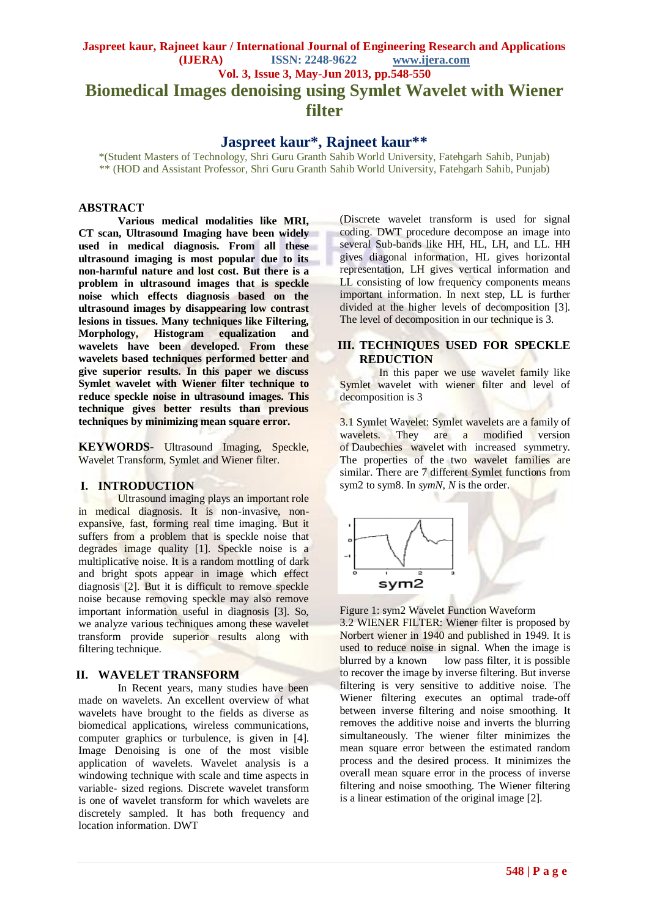# **Jaspreet kaur, Rajneet kaur / International Journal of Engineering Research and Applications (IJERA) ISSN: 2248-9622 www.ijera.com Vol. 3, Issue 3, May-Jun 2013, pp.548-550 Biomedical Images denoising using Symlet Wavelet with Wiener**

**filter**

## **Jaspreet kaur\*, Rajneet kaur\*\***

\*(Student Masters of Technology, Shri Guru Granth Sahib World University, Fatehgarh Sahib, Punjab) \*\* (HOD and Assistant Professor, Shri Guru Granth Sahib World University, Fatehgarh Sahib, Punjab)

#### **ABSTRACT**

**Various medical modalities like MRI, CT scan, Ultrasound Imaging have been widely used in medical diagnosis. From all these ultrasound imaging is most popular due to its non-harmful nature and lost cost. But there is a problem in ultrasound images that is speckle noise which effects diagnosis based on the ultrasound images by disappearing low contrast lesions in tissues. Many techniques like Filtering, Morphology, Histogram equalization and wavelets have been developed. From these wavelets based techniques performed better and give superior results. In this paper we discuss Symlet wavelet with Wiener filter technique to reduce speckle noise in ultrasound images. This technique gives better results than previous techniques by minimizing mean square error.**

**KEYWORDS-** Ultrasound Imaging, Speckle, Wavelet Transform, Symlet and Wiener filter.

#### **I. INTRODUCTION**

Ultrasound imaging plays an important role in medical diagnosis. It is non-invasive, nonexpansive, fast, forming real time imaging. But it suffers from a problem that is speckle noise that degrades image quality [1]. Speckle noise is a multiplicative noise. It is a random mottling of dark and bright spots appear in image which effect diagnosis [2]. But it is difficult to remove speckle noise because removing speckle may also remove important information useful in diagnosis [3]. So, we analyze various techniques among these wavelet transform provide superior results along with filtering technique.

#### **II. WAVELET TRANSFORM**

In Recent years, many studies have been made on wavelets. An excellent overview of what wavelets have brought to the fields as diverse as biomedical applications, wireless communications, computer graphics or turbulence, is given in [4]. Image Denoising is one of the most visible application of wavelets. Wavelet analysis is a windowing technique with scale and time aspects in variable- sized regions. Discrete wavelet transform is one of wavelet transform for which wavelets are discretely sampled. It has both frequency and location information. DWT

(Discrete wavelet transform is used for signal coding. DWT procedure decompose an image into several Sub-bands like HH, HL, LH, and LL. HH gives diagonal information, HL gives horizontal representation, LH gives vertical information and LL consisting of low frequency components means important information. In next step, LL is further divided at the higher levels of decomposition [3]. The level of decomposition in our technique is 3.

### **III. TECHNIQUES USED FOR SPECKLE REDUCTION**

In this paper we use wavelet family like Symlet wavelet with wiener filter and level of decomposition is 3

3.1 Symlet Wavelet: Symlet wavelets are a family of wavelets. They are a modified version of Daubechies wavelet with increased symmetry. The properties of the two wavelet families are similar. There are 7 different Symlet functions from sym2 to sym8. In *symN*, *N* is the order.



#### Figure 1: sym2 Wavelet Function Waveform

3.2 WIENER FILTER: Wiener filter is proposed by Norbert wiener in 1940 and published in 1949. It is used to reduce noise in signal. When the image is blurred by a known low pass filter, it is possible to recover the image by inverse filtering. But inverse filtering is very sensitive to additive noise. The Wiener filtering executes an optimal trade-off between inverse filtering and noise smoothing. It removes the additive noise and inverts the blurring simultaneously. The wiener filter minimizes the mean square error between the estimated random process and the desired process. It minimizes the overall mean square error in the process of inverse filtering and noise smoothing. The Wiener filtering is a linear estimation of the original image [2].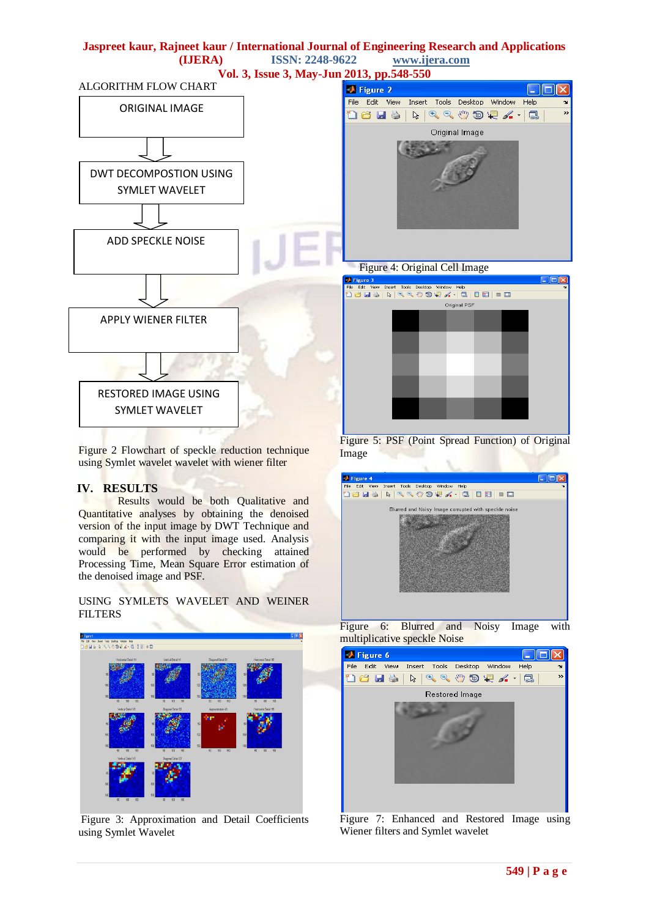

Figure 2 Flowchart of speckle reduction technique using Symlet wavelet wavelet with wiener filter

#### **IV. RESULTS**

Results would be both Qualitative and Quantitative analyses by obtaining the denoised version of the input image by DWT Technique and comparing it with the input image used. Analysis would be performed by checking attained Processing Time, Mean Square Error estimation of the denoised image and PSF.

USING SYMLETS WAVELET AND WEINER **FILTERS** 



Figure 3: Approximation and Detail Coefficients using Symlet Wavelet

Figure 5: PSF (Point Spread Function) of Original Image





Figure 7: Enhanced and Restored Image using Wiener filters and Symlet wavelet